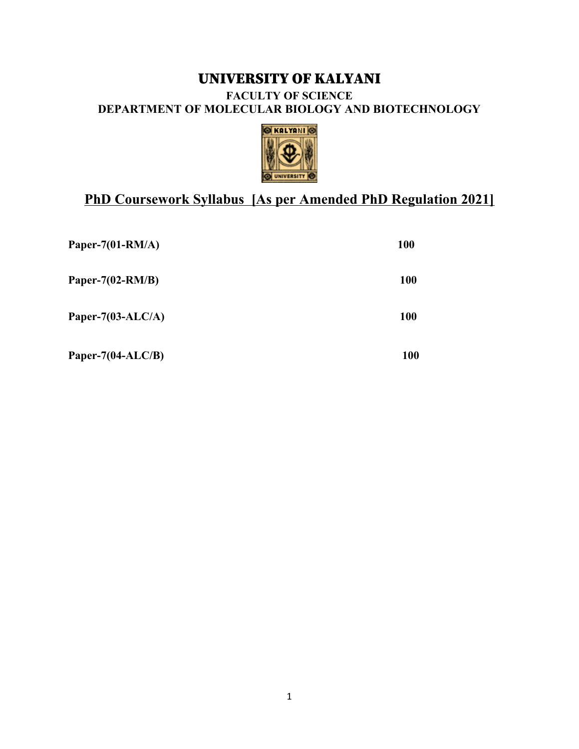# UNIVERSITY OF KALYANI **FACULTY OF SCIENCE DEPARTMENT OF MOLECULAR BIOLOGY AND BIOTECHNOLOGY**



# **PhD Coursework Syllabus [As per Amended PhD Regulation 2021]**

| Paper-7(01-RM/A)      | <b>100</b> |
|-----------------------|------------|
| Paper- $7(02-RM/B)$   | <b>100</b> |
| Paper-7(03-ALC/A)     | <b>100</b> |
| Paper-7 $(04$ -ALC/B) | 100        |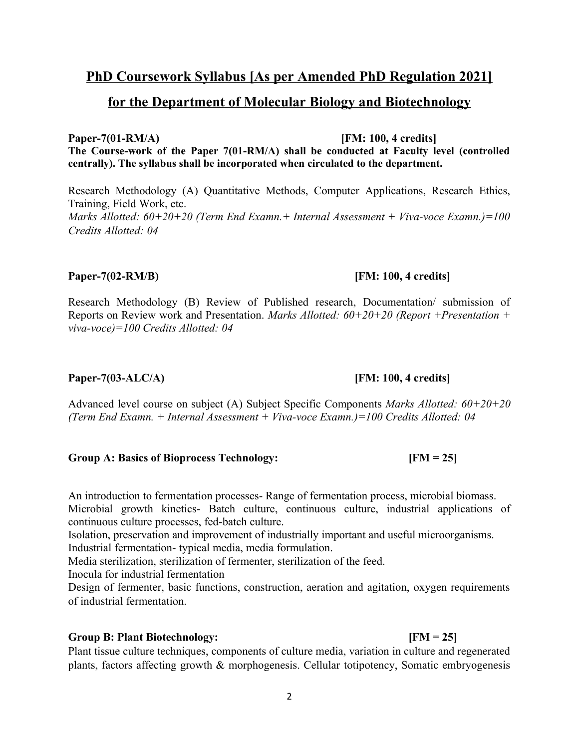# **PhD Coursework Syllabus [As per Amended PhD Regulation 2021] for the Department of Molecular Biology and Biotechnology**

**Paper-7(01-RM/A) [FM: 100, 4 credits] The Course-work of the Paper 7(01-RM/A) shall be conducted at Faculty level (controlled centrally). The syllabus shall be incorporated when circulated to the department.**

Research Methodology (A) Quantitative Methods, Computer Applications, Research Ethics, Training, Field Work, etc. *Marks Allotted: 60+20+20 (Term End Examn.+ Internal Assessment + Viva-voce Examn.)=100 Credits Allotted: 04* 

## **Paper-7(02-RM/B) [FM: 100, 4 credits]**

Research Methodology (B) Review of Published research, Documentation/ submission of Reports on Review work and Presentation. *Marks Allotted: 60+20+20 (Report +Presentation + viva-voce)=100 Credits Allotted: 04* 

# **Paper-7(03-ALC/A) [FM: 100, 4 credits]**

Advanced level course on subject (A) Subject Specific Components *Marks Allotted: 60+20+20 (Term End Examn. + Internal Assessment + Viva-voce Examn.)=100 Credits Allotted: 04* 

# **Group A: Basics of Bioprocess Technology: [FM = 25]**

An introduction to fermentation processes- Range of fermentation process, microbial biomass. Microbial growth kinetics- Batch culture, continuous culture, industrial applications of continuous culture processes, fed-batch culture.

Isolation, preservation and improvement of industrially important and useful microorganisms. Industrial fermentation- typical media, media formulation.

Media sterilization, sterilization of fermenter, sterilization of the feed.

Inocula for industrial fermentation

Design of fermenter, basic functions, construction, aeration and agitation, oxygen requirements of industrial fermentation.

### **Group B: Plant Biotechnology: [FM = 25]**

Plant tissue culture techniques, components of culture media, variation in culture and regenerated plants, factors affecting growth & morphogenesis. Cellular totipotency, Somatic embryogenesis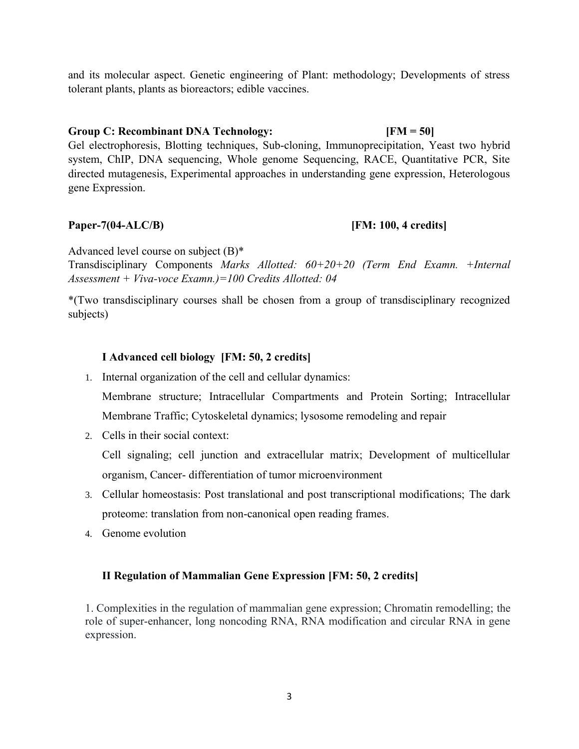and its molecular aspect. Genetic engineering of Plant: methodology; Developments of stress tolerant plants, plants as bioreactors; edible vaccines.

### **Group C: Recombinant DNA Technology: [FM = 50]**

Gel electrophoresis, Blotting techniques, Sub-cloning, Immunoprecipitation, Yeast two hybrid system, ChIP, DNA sequencing, Whole genome Sequencing, RACE, Quantitative PCR, Site directed mutagenesis, Experimental approaches in understanding gene expression, Heterologous gene Expression.

### **Paper-7(04-ALC/B) [FM: 100, 4 credits]**

Advanced level course on subject (B)\*

Transdisciplinary Components *Marks Allotted: 60+20+20 (Term End Examn. +Internal Assessment + Viva-voce Examn.)=100 Credits Allotted: 04* 

\*(Two transdisciplinary courses shall be chosen from a group of transdisciplinary recognized subjects)

## **I Advanced cell biology [FM: 50, 2 credits]**

1. Internal organization of the cell and cellular dynamics:

Membrane structure; Intracellular Compartments and Protein Sorting; Intracellular Membrane Traffic; Cytoskeletal dynamics; lysosome remodeling and repair

2. Cells in their social context:

Cell signaling; cell junction and extracellular matrix; Development of multicellular organism, Cancer- differentiation of tumor microenvironment

- 3. Cellular homeostasis: Post translational and post transcriptional modifications; The dark proteome: translation from non-canonical open reading frames.
- 4. Genome evolution

### **II Regulation of Mammalian Gene Expression [FM: 50, 2 credits]**

1. Complexities in the regulation of mammalian gene expression; Chromatin remodelling; the role of super-enhancer, long noncoding RNA, RNA modification and circular RNA in gene expression.